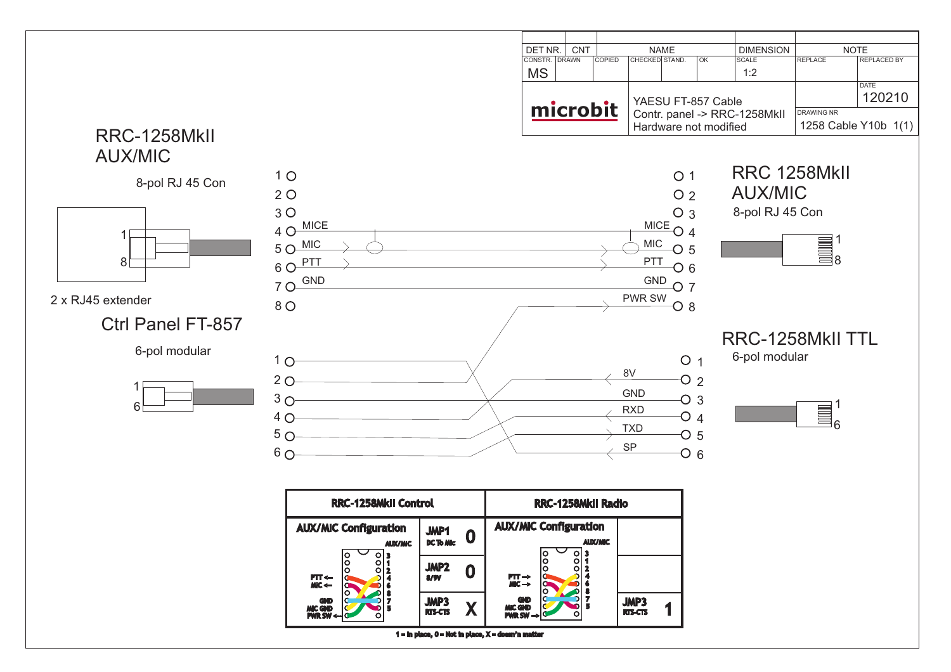